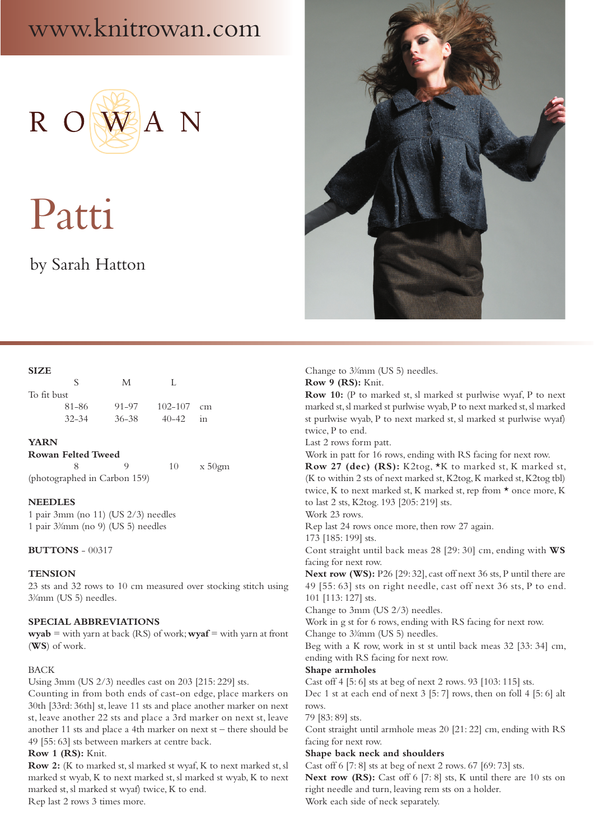## www.knitrowan.com



# Patti

## by Sarah Hatton



| $-1111$     |           |           |                |    |
|-------------|-----------|-----------|----------------|----|
|             | ↖         | M         | Ι.             |    |
| To fit bust |           |           |                |    |
|             | 81-86     | 91-97     | $102 - 107$ cm |    |
|             | $32 - 34$ | $36 - 38$ | $40 - 42$      | in |

#### **YARN**

#### **Rowan Felted Tweed**

 8 9 10 x 50gm (photographed in Carbon 159)

#### **NEEDLES**

1 pair 3mm (no 11) (US 2/3) needles 1 pair 33 ⁄4mm (no 9) (US 5) needles

#### **BUTTONS** - 00317

#### **TENSION**

23 sts and 32 rows to 10 cm measured over stocking stitch using 33 ⁄4mm (US 5) needles.

#### **SPECIAL ABBREVIATIONS**

**wyab** = with yarn at back (RS) of work; **wyaf** = with yarn at front (**WS**) of work.

#### BACK

Using 3mm (US 2/3) needles cast on 203 [215: 229] sts.

Counting in from both ends of cast-on edge, place markers on 30th [33rd: 36th] st, leave 11 sts and place another marker on next st, leave another 22 sts and place a 3rd marker on next st, leave another 11 sts and place a 4th marker on next st – there should be 49 [55: 63] sts between markers at centre back.

#### **Row 1 (RS):** Knit.

**Row 2:** (K to marked st, sl marked st wyaf, K to next marked st, sl marked st wyab, K to next marked st, sl marked st wyab, K to next marked st, sl marked st wyaf) twice, K to end.

Rep last 2 rows 3 times more.



Change to  $3\frac{3}{4}$ mm (US 5) needles.

**Row 9 (RS):** Knit.

**Row 10:** (P to marked st, sl marked st purlwise wyaf, P to next marked st, sl marked st purlwise wyab, P to next marked st, sl marked st purlwise wyab, P to next marked st, sl marked st purlwise wyaf) twice, P to end.

Last 2 rows form patt.

Work in patt for 16 rows, ending with RS facing for next row.

**Row 27 (dec) (RS):** K2tog, \*K to marked st, K marked st, (K to within 2 sts of next marked st, K2tog, K marked st, K2tog tbl) twice, K to next marked st, K marked st, rep from \* once more, K to last 2 sts, K2tog. 193 [205: 219] sts.

Work 23 rows.

Rep last 24 rows once more, then row 27 again.

173 [185: 199] sts.

Cont straight until back meas 28 [29: 30] cm, ending with **WS** facing for next row.

**Next row (WS):** P26 [29: 32], cast off next 36 sts, P until there are 49 [55: 63] sts on right needle, cast off next 36 sts, P to end. 101 [113: 127] sts.

Change to 3mm (US 2/3) needles.

Work in g st for 6 rows, ending with RS facing for next row. Change to  $3\frac{3}{4}$ mm (US 5) needles.

Beg with a K row, work in st st until back meas 32 [33: 34] cm, ending with RS facing for next row.

#### **Shape armholes**

Cast off 4 [5: 6] sts at beg of next 2 rows. 93 [103: 115] sts. Dec 1 st at each end of next 3 [5: 7] rows, then on foll 4 [5: 6] alt rows.

79 [83: 89] sts.

Cont straight until armhole meas 20 [21: 22] cm, ending with RS facing for next row.

#### **Shape back neck and shoulders**

Cast off 6 [7: 8] sts at beg of next 2 rows. 67 [69: 73] sts.

Next row (RS): Cast off 6 [7: 8] sts, K until there are 10 sts on right needle and turn, leaving rem sts on a holder.

Work each side of neck separately.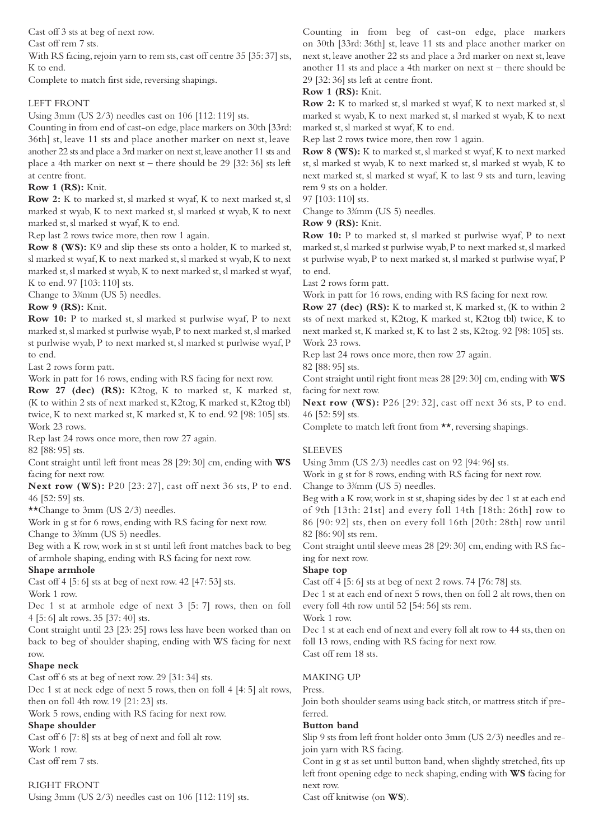Cast off 3 sts at beg of next row.

Cast off rem 7 sts.

With RS facing, rejoin yarn to rem sts, cast off centre 35 [35: 37] sts, K to end.

Complete to match first side, reversing shapings.

### LEFT FRONT

Using 3mm (US 2/3) needles cast on 106 [112: 119] sts.

Counting in from end of cast-on edge, place markers on 30th [33rd: 36th] st, leave 11 sts and place another marker on next st, leave another 22 sts and place a 3rd marker on next st, leave another 11 sts and place a 4th marker on next st – there should be 29 [32: 36] sts left at centre front.

#### **Row 1 (RS):** Knit.

**Row 2:** K to marked st, sl marked st wyaf, K to next marked st, sl marked st wyab, K to next marked st, sl marked st wyab, K to next marked st, sl marked st wyaf, K to end.

Rep last 2 rows twice more, then row 1 again.

**Row 8 (WS):** K9 and slip these sts onto a holder, K to marked st, sl marked st wyaf, K to next marked st, sl marked st wyab, K to next marked st, sl marked st wyab, K to next marked st, sl marked st wyaf, K to end. 97 [103: 110] sts.

Change to  $3\frac{3}{4}$ mm (US 5) needles.

#### **Row 9 (RS):** Knit.

**Row 10:** P to marked st, sl marked st purlwise wyaf, P to next marked st, sl marked st purlwise wyab, P to next marked st, sl marked st purlwise wyab, P to next marked st, sl marked st purlwise wyaf, P to end.

Last 2 rows form patt.

Work in patt for 16 rows, ending with RS facing for next row.

**Row 27 (dec) (RS):** K2tog, K to marked st, K marked st, (K to within 2 sts of next marked st, K2tog, K marked st, K2tog tbl) twice, K to next marked st, K marked st, K to end. 92 [98: 105] sts. Work 23 rows.

Rep last 24 rows once more, then row 27 again.

82 [88: 95] sts.

Cont straight until left front meas 28 [29: 30] cm, ending with **WS** facing for next row.

**Next row (WS):** P20 [23: 27], cast off next 36 sts, P to end. 46 [52: 59] sts.

\*\*Change to 3mm (US 2/3) needles.

Work in g st for 6 rows, ending with RS facing for next row.

Change to  $3\frac{3}{4}$ mm (US 5) needles.

Beg with a K row, work in st st until left front matches back to beg of armhole shaping, ending with RS facing for next row.

#### **Shape armhole**

Cast off 4 [5: 6] sts at beg of next row. 42 [47: 53] sts. Work 1 row.

Dec 1 st at armhole edge of next 3 [5: 7] rows, then on foll 4 [5: 6] alt rows. 35 [37: 40] sts.

Cont straight until 23 [23: 25] rows less have been worked than on back to beg of shoulder shaping, ending with WS facing for next row.

#### **Shape neck**

Cast off 6 sts at beg of next row. 29 [31: 34] sts.

Dec 1 st at neck edge of next 5 rows, then on foll 4 [4: 5] alt rows, then on foll 4th row. 19 [21: 23] sts.

Work 5 rows, ending with RS facing for next row.

**Shape shoulder**

Cast off 6 [7: 8] sts at beg of next and foll alt row. Work 1 row. Cast off rem 7 sts.

RIGHT FRONT Using 3mm (US 2/3) needles cast on 106 [112: 119] sts.

Counting in from beg of cast-on edge, place markers on 30th [33rd: 36th] st, leave 11 sts and place another marker on next st, leave another 22 sts and place a 3rd marker on next st, leave another 11 sts and place a 4th marker on next st – there should be 29 [32: 36] sts left at centre front.

#### **Row 1 (RS):** Knit.

**Row 2:** K to marked st, sl marked st wyaf, K to next marked st, sl marked st wyab, K to next marked st, sl marked st wyab, K to next marked st, sl marked st wyaf, K to end.

Rep last 2 rows twice more, then row 1 again.

**Row 8 (WS):** K to marked st, sl marked st wyaf, K to next marked st, sl marked st wyab, K to next marked st, sl marked st wyab, K to next marked st, sl marked st wyaf, K to last 9 sts and turn, leaving rem 9 sts on a holder.

97 [103: 110] sts.

Change to  $3\frac{3}{4}$ mm (US 5) needles.

**Row 9 (RS):** Knit.

**Row 10:** P to marked st, sl marked st purlwise wyaf, P to next marked st, sl marked st purlwise wyab, P to next marked st, sl marked st purlwise wyab, P to next marked st, sl marked st purlwise wyaf, P to end.

Last 2 rows form patt.

Work in patt for 16 rows, ending with RS facing for next row.

**Row 27 (dec) (RS):** K to marked st, K marked st, (K to within 2 sts of next marked st, K2tog, K marked st, K2tog tbl) twice, K to next marked st, K marked st, K to last 2 sts, K2tog. 92 [98: 105] sts. Work 23 rows.

Rep last 24 rows once more, then row 27 again.

82 [88: 95] sts.

Cont straight until right front meas 28 [29: 30] cm, ending with **WS** facing for next row.

**Next row (WS):** P26 [29: 32], cast off next 36 sts, P to end. 46 [52: 59] sts.

Complete to match left front from \*\*, reversing shapings.

#### **SLEEVES**

Using 3mm (US 2/3) needles cast on 92 [94: 96] sts.

Work in g st for 8 rows, ending with RS facing for next row.

Change to  $3\frac{3}{4}$ mm (US 5) needles.

Beg with a K row, work in st st, shaping sides by dec 1 st at each end of 9th [13th: 21st] and every foll 14th [18th: 26th] row to 86 [90: 92] sts, then on every foll 16th [20th: 28th] row until 82 [86: 90] sts rem.

Cont straight until sleeve meas 28 [29: 30] cm, ending with RS facing for next row.

#### **Shape top**

Cast off 4 [5: 6] sts at beg of next 2 rows. 74 [76: 78] sts.

Dec 1 st at each end of next 5 rows, then on foll 2 alt rows, then on every foll 4th row until 52 [54: 56] sts rem.

Work 1 row.

Dec 1 st at each end of next and every foll alt row to 44 sts, then on foll 13 rows, ending with RS facing for next row. Cast off rem 18 sts.

#### MAKING UP

Press.

Join both shoulder seams using back stitch, or mattress stitch if preferred.

#### **Button band**

Slip 9 sts from left front holder onto 3mm (US 2/3) needles and rejoin yarn with RS facing.

Cont in g st as set until button band, when slightly stretched, fits up left front opening edge to neck shaping, ending with **WS** facing for next row.

Cast off knitwise (on **WS**).